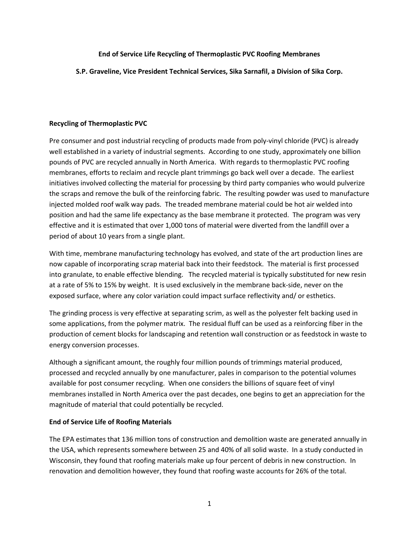## End of Service Life Recycling of Thermoplastic PVC Roofing Membranes

S.P. Graveline, Vice President Technical Services, Sika Sarnafil, a Division of Sika Corp.

# Recycling of Thermoplastic PVC

Pre consumer and post industrial recycling of products made from poly-vinyl chloride (PVC) is already well established in a variety of industrial segments. According to one study, approximately one billion pounds of PVC are recycled annually in North America. With regards to thermoplastic PVC roofing membranes, efforts to reclaim and recycle plant trimmings go back well over a decade. The earliest initiatives involved collecting the material for processing by third party companies who would pulverize the scraps and remove the bulk of the reinforcing fabric. The resulting powder was used to manufacture injected molded roof walk way pads. The treaded membrane material could be hot air welded into position and had the same life expectancy as the base membrane it protected. The program was very effective and it is estimated that over 1,000 tons of material were diverted from the landfill over a period of about 10 years from a single plant.

With time, membrane manufacturing technology has evolved, and state of the art production lines are now capable of incorporating scrap material back into their feedstock. The material is first processed into granulate, to enable effective blending. The recycled material is typically substituted for new resin at a rate of 5% to 15% by weight. It is used exclusively in the membrane back-side, never on the exposed surface, where any color variation could impact surface reflectivity and/ or esthetics.

The grinding process is very effective at separating scrim, as well as the polyester felt backing used in some applications, from the polymer matrix. The residual fluff can be used as a reinforcing fiber in the production of cement blocks for landscaping and retention wall construction or as feedstock in waste to energy conversion processes.

Although a significant amount, the roughly four million pounds of trimmings material produced, processed and recycled annually by one manufacturer, pales in comparison to the potential volumes available for post consumer recycling. When one considers the billions of square feet of vinyl membranes installed in North America over the past decades, one begins to get an appreciation for the magnitude of material that could potentially be recycled.

# End of Service Life of Roofing Materials

The EPA estimates that 136 million tons of construction and demolition waste are generated annually in the USA, which represents somewhere between 25 and 40% of all solid waste. In a study conducted in Wisconsin, they found that roofing materials make up four percent of debris in new construction. In renovation and demolition however, they found that roofing waste accounts for 26% of the total.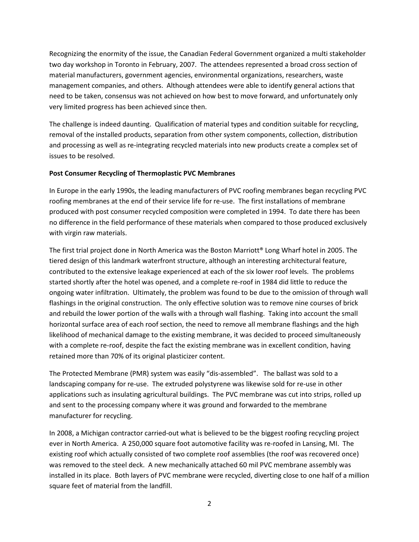Recognizing the enormity of the issue, the Canadian Federal Government organized a multi stakeholder two day workshop in Toronto in February, 2007. The attendees represented a broad cross section of material manufacturers, government agencies, environmental organizations, researchers, waste management companies, and others. Although attendees were able to identify general actions that need to be taken, consensus was not achieved on how best to move forward, and unfortunately only very limited progress has been achieved since then.

The challenge is indeed daunting. Qualification of material types and condition suitable for recycling, removal of the installed products, separation from other system components, collection, distribution and processing as well as re-integrating recycled materials into new products create a complex set of issues to be resolved.

## Post Consumer Recycling of Thermoplastic PVC Membranes

In Europe in the early 1990s, the leading manufacturers of PVC roofing membranes began recycling PVC roofing membranes at the end of their service life for re-use. The first installations of membrane produced with post consumer recycled composition were completed in 1994. To date there has been no difference in the field performance of these materials when compared to those produced exclusively with virgin raw materials.

The first trial project done in North America was the Boston Marriott® Long Wharf hotel in 2005. The tiered design of this landmark waterfront structure, although an interesting architectural feature, contributed to the extensive leakage experienced at each of the six lower roof levels. The problems started shortly after the hotel was opened, and a complete re-roof in 1984 did little to reduce the ongoing water infiltration. Ultimately, the problem was found to be due to the omission of through wall flashings in the original construction. The only effective solution was to remove nine courses of brick and rebuild the lower portion of the walls with a through wall flashing. Taking into account the small horizontal surface area of each roof section, the need to remove all membrane flashings and the high likelihood of mechanical damage to the existing membrane, it was decided to proceed simultaneously with a complete re-roof, despite the fact the existing membrane was in excellent condition, having retained more than 70% of its original plasticizer content.

The Protected Membrane (PMR) system was easily "dis-assembled". The ballast was sold to a landscaping company for re-use. The extruded polystyrene was likewise sold for re-use in other applications such as insulating agricultural buildings. The PVC membrane was cut into strips, rolled up and sent to the processing company where it was ground and forwarded to the membrane manufacturer for recycling.

In 2008, a Michigan contractor carried-out what is believed to be the biggest roofing recycling project ever in North America. A 250,000 square foot automotive facility was re-roofed in Lansing, MI. The existing roof which actually consisted of two complete roof assemblies (the roof was recovered once) was removed to the steel deck. A new mechanically attached 60 mil PVC membrane assembly was installed in its place. Both layers of PVC membrane were recycled, diverting close to one half of a million square feet of material from the landfill.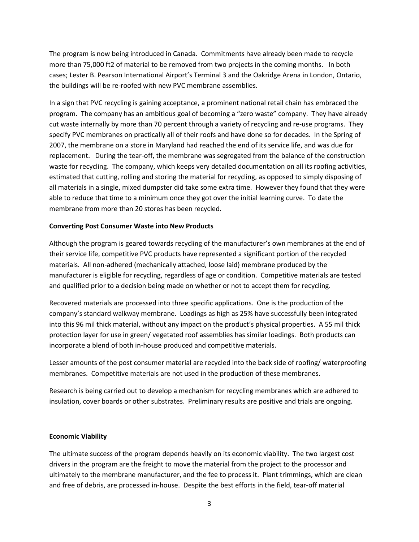The program is now being introduced in Canada. Commitments have already been made to recycle more than 75,000 ft2 of material to be removed from two projects in the coming months. In both cases; Lester B. Pearson International Airport's Terminal 3 and the Oakridge Arena in London, Ontario, the buildings will be re-roofed with new PVC membrane assemblies.

In a sign that PVC recycling is gaining acceptance, a prominent national retail chain has embraced the program. The company has an ambitious goal of becoming a "zero waste" company. They have already cut waste internally by more than 70 percent through a variety of recycling and re-use programs. They specify PVC membranes on practically all of their roofs and have done so for decades. In the Spring of 2007, the membrane on a store in Maryland had reached the end of its service life, and was due for replacement. During the tear-off, the membrane was segregated from the balance of the construction waste for recycling. The company, which keeps very detailed documentation on all its roofing activities, estimated that cutting, rolling and storing the material for recycling, as opposed to simply disposing of all materials in a single, mixed dumpster did take some extra time. However they found that they were able to reduce that time to a minimum once they got over the initial learning curve. To date the membrane from more than 20 stores has been recycled.

### Converting Post Consumer Waste into New Products

Although the program is geared towards recycling of the manufacturer's own membranes at the end of their service life, competitive PVC products have represented a significant portion of the recycled materials. All non-adhered (mechanically attached, loose laid) membrane produced by the manufacturer is eligible for recycling, regardless of age or condition. Competitive materials are tested and qualified prior to a decision being made on whether or not to accept them for recycling.

Recovered materials are processed into three specific applications. One is the production of the company's standard walkway membrane. Loadings as high as 25% have successfully been integrated into this 96 mil thick material, without any impact on the product's physical properties. A 55 mil thick protection layer for use in green/ vegetated roof assemblies has similar loadings. Both products can incorporate a blend of both in-house produced and competitive materials.

Lesser amounts of the post consumer material are recycled into the back side of roofing/ waterproofing membranes. Competitive materials are not used in the production of these membranes.

Research is being carried out to develop a mechanism for recycling membranes which are adhered to insulation, cover boards or other substrates. Preliminary results are positive and trials are ongoing.

#### Economic Viability

The ultimate success of the program depends heavily on its economic viability. The two largest cost drivers in the program are the freight to move the material from the project to the processor and ultimately to the membrane manufacturer, and the fee to process it. Plant trimmings, which are clean and free of debris, are processed in-house. Despite the best efforts in the field, tear-off material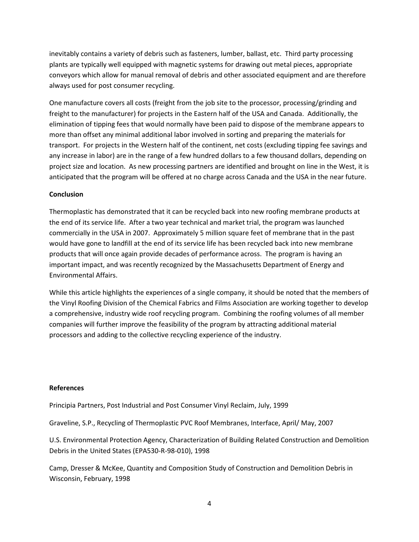inevitably contains a variety of debris such as fasteners, lumber, ballast, etc. Third party processing plants are typically well equipped with magnetic systems for drawing out metal pieces, appropriate conveyors which allow for manual removal of debris and other associated equipment and are therefore always used for post consumer recycling.

One manufacture covers all costs (freight from the job site to the processor, processing/grinding and freight to the manufacturer) for projects in the Eastern half of the USA and Canada. Additionally, the elimination of tipping fees that would normally have been paid to dispose of the membrane appears to more than offset any minimal additional labor involved in sorting and preparing the materials for transport. For projects in the Western half of the continent, net costs (excluding tipping fee savings and any increase in labor) are in the range of a few hundred dollars to a few thousand dollars, depending on project size and location. As new processing partners are identified and brought on line in the West, it is anticipated that the program will be offered at no charge across Canada and the USA in the near future.

### **Conclusion**

Thermoplastic has demonstrated that it can be recycled back into new roofing membrane products at the end of its service life. After a two year technical and market trial, the program was launched commercially in the USA in 2007. Approximately 5 million square feet of membrane that in the past would have gone to landfill at the end of its service life has been recycled back into new membrane products that will once again provide decades of performance across. The program is having an important impact, and was recently recognized by the Massachusetts Department of Energy and Environmental Affairs.

While this article highlights the experiences of a single company, it should be noted that the members of the Vinyl Roofing Division of the Chemical Fabrics and Films Association are working together to develop a comprehensive, industry wide roof recycling program. Combining the roofing volumes of all member companies will further improve the feasibility of the program by attracting additional material processors and adding to the collective recycling experience of the industry.

#### References

Principia Partners, Post Industrial and Post Consumer Vinyl Reclaim, July, 1999

Graveline, S.P., Recycling of Thermoplastic PVC Roof Membranes, Interface, April/ May, 2007

U.S. Environmental Protection Agency, Characterization of Building Related Construction and Demolition Debris in the United States (EPA530-R-98-010), 1998

Camp, Dresser & McKee, Quantity and Composition Study of Construction and Demolition Debris in Wisconsin, February, 1998